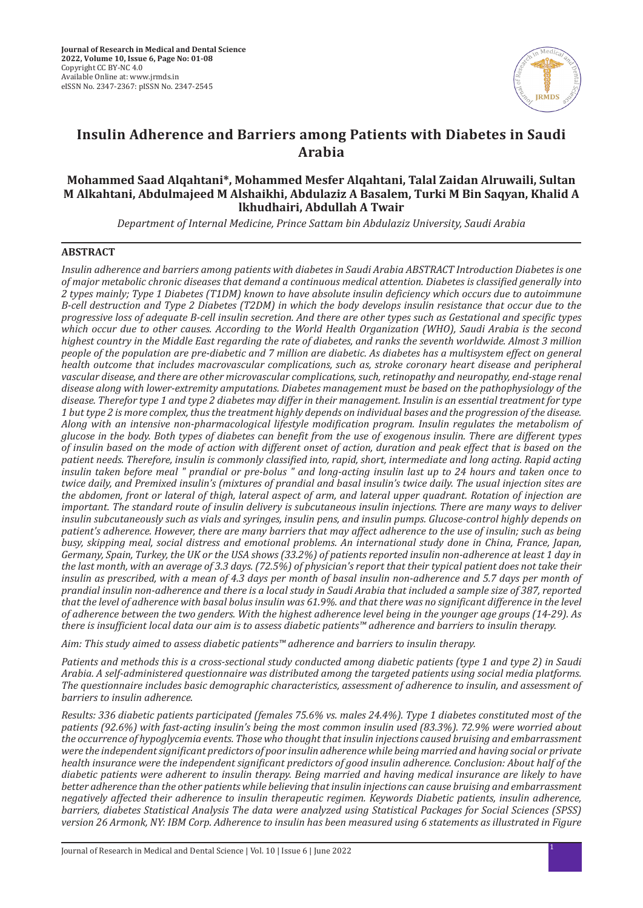

# **Insulin Adherence and Barriers among Patients with Diabetes in Saudi Arabia**

# **Mohammed Saad Alqahtani\*, Mohammed Mesfer Alqahtani, Talal Zaidan Alruwaili, Sultan M Alkahtani, Abdulmajeed M Alshaikhi, Abdulaziz A Basalem, Turki M Bin Saqyan, Khalid A lkhudhairi, Abdullah A Twair**

*Department of Internal Medicine, Prince Sattam bin Abdulaziz University, Saudi Arabia*

# **ABSTRACT**

*Insulin adherence and barriers among patients with diabetes in Saudi Arabia ABSTRACT Introduction Diabetes is one of major metabolic chronic diseases that demand a continuous medical attention. Diabetes is classified generally into 2 types mainly; Type 1 Diabetes (T1DM) known to have absolute insulin deficiency which occurs due to autoimmune B-cell destruction and Type 2 Diabetes (T2DM) in which the body develops insulin resistance that occur due to the progressive loss of adequate B-cell insulin secretion. And there are other types such as Gestational and specific types which occur due to other causes. According to the World Health Organization (WHO), Saudi Arabia is the second highest country in the Middle East regarding the rate of diabetes, and ranks the seventh worldwide. Almost 3 million people of the population are pre-diabetic and 7 million are diabetic. As diabetes has a multisystem effect on general health outcome that includes macrovascular complications, such as, stroke coronary heart disease and peripheral vascular disease, and there are other microvascular complications, such, retinopathy and neuropathy, end-stage renal disease along with lower-extremity amputations. Diabetes management must be based on the pathophysiology of the disease. Therefor type 1 and type 2 diabetes may differ in their management. Insulin is an essential treatment for type 1 but type 2 is more complex, thus the treatment highly depends on individual bases and the progression of the disease. Along with an intensive non-pharmacological lifestyle modification program. Insulin regulates the metabolism of glucose in the body. Both types of diabetes can benefit from the use of exogenous insulin. There are different types of insulin based on the mode of action with different onset of action, duration and peak effect that is based on the patient needs. Therefore, insulin is commonly classified into, rapid, short, intermediate and long acting. Rapid acting insulin taken before meal " prandial or pre-bolus " and long-acting insulin last up to 24 hours and taken once to twice daily, and Premixed insulin's (mixtures of prandial and basal insulin's twice daily. The usual injection sites are the abdomen, front or lateral of thigh, lateral aspect of arm, and lateral upper quadrant. Rotation of injection are important. The standard route of insulin delivery is subcutaneous insulin injections. There are many ways to deliver insulin subcutaneously such as vials and syringes, insulin pens, and insulin pumps. Glucose-control highly depends on patient's adherence. However, there are many barriers that may affect adherence to the use of insulin; such as being busy, skipping meal, social distress and emotional problems. An international study done in China, France, Japan, Germany, Spain, Turkey, the UK or the USA shows (33.2%) of patients reported insulin non-adherence at least 1 day in the last month, with an average of 3.3 days. (72.5%) of physician's report that their typical patient does not take their*  insulin as prescribed, with a mean of 4.3 days per month of basal insulin non-adherence and 5.7 days per month of *prandial insulin non-adherence and there is a local study in Saudi Arabia that included a sample size of 387, reported that the level of adherence with basal bolus insulin was 61.9%. and that there was no significant difference in the level of adherence between the two genders. With the highest adherence level being in the younger age groups (14-29). As there is insufficient local data our aim is to assess diabetic patients™ adherence and barriers to insulin therapy.* 

*Aim: This study aimed to assess diabetic patients™ adherence and barriers to insulin therapy.*

*Patients and methods this is a cross-sectional study conducted among diabetic patients (type 1 and type 2) in Saudi Arabia. A self-administered questionnaire was distributed among the targeted patients using social media platforms. The questionnaire includes basic demographic characteristics, assessment of adherence to insulin, and assessment of barriers to insulin adherence.* 

*Results: 336 diabetic patients participated (females 75.6% vs. males 24.4%). Type 1 diabetes constituted most of the patients (92.6%) with fast-acting insulin's being the most common insulin used (83.3%). 72.9% were worried about the occurrence of hypoglycemia events. Those who thought that insulin injections caused bruising and embarrassment were the independent significant predictors of poor insulin adherence while being married and having social or private health insurance were the independent significant predictors of good insulin adherence. Conclusion: About half of the diabetic patients were adherent to insulin therapy. Being married and having medical insurance are likely to have better adherence than the other patients while believing that insulin injections can cause bruising and embarrassment negatively affected their adherence to insulin therapeutic regimen. Keywords Diabetic patients, insulin adherence, barriers, diabetes Statistical Analysis The data were analyzed using Statistical Packages for Social Sciences (SPSS) version 26 Armonk, NY: IBM Corp. Adherence to insulin has been measured using 6 statements as illustrated in Figure*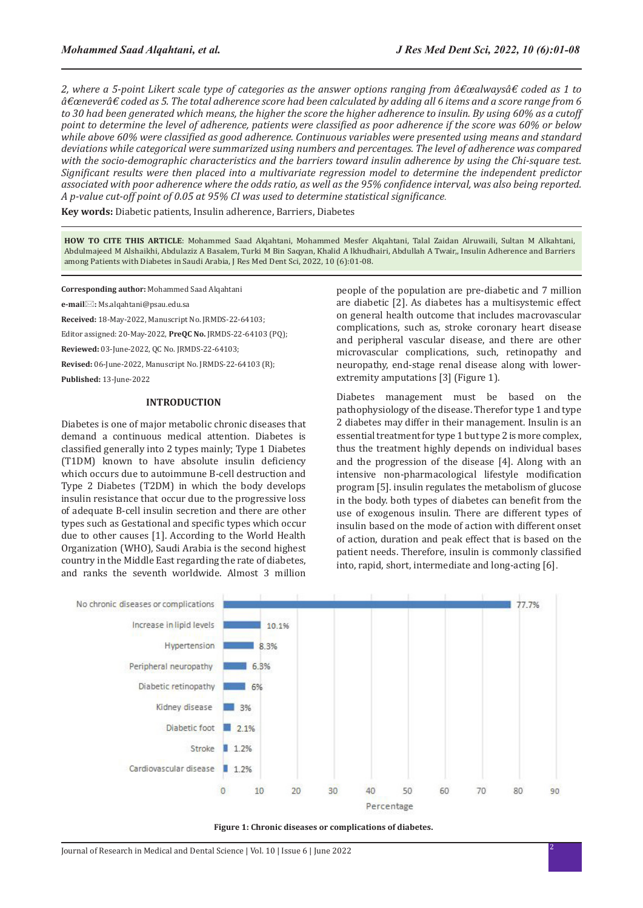2, where a 5-point Likert scale type of categories as the answer options ranging from  $\hat{\alpha} \in \text{c}$  and  $\alpha$  as 1 to  $\hat{\beta}$  $\hat{a}$ €œnever $\hat{a}$ € coded as 5. The total adherence score had been calculated by adding all 6 items and a score range from 6 *to 30 had been generated which means, the higher the score the higher adherence to insulin. By using 60% as a cutoff point to determine the level of adherence, patients were classified as poor adherence if the score was 60% or below while above 60% were classified as good adherence. Continuous variables were presented using means and standard deviations while categorical were summarized using numbers and percentages. The level of adherence was compared with the socio-demographic characteristics and the barriers toward insulin adherence by using the Chi-square test. Significant results were then placed into a multivariate regression model to determine the independent predictor associated with poor adherence where the odds ratio, as well as the 95% confidence interval, was also being reported. A p-value cut-off point of 0.05 at 95% CI was used to determine statistical significance.*

**Key words:** Diabetic patients, Insulin adherence, Barriers, Diabetes

**HOW TO CITE THIS ARTICLE**: Mohammed Saad Alqahtani, Mohammed Mesfer Alqahtani, Talal Zaidan Alruwaili, Sultan M Alkahtani, Abdulmajeed M Alshaikhi, Abdulaziz A Basalem, Turki M Bin Saqyan, Khalid A lkhudhairi, Abdullah A Twair,, Insulin Adherence and Barriers among Patients with Diabetes in Saudi Arabia, J Res Med Dent Sci, 2022, 10 (6):01-08.

**Corresponding author:** Mohammed Saad Alqahtani

**e-mail:** Ms.alqahtani@psau.edu.sa

**Received:** 18-May-2022, Manuscript No. JRMDS-22-64103;

Editor assigned: 20-May-2022, **PreQC No.** JRMDS-22-64103 (PQ);

**Reviewed:** 03-June-2022, QC No. JRMDS-22-64103;

**Revised:** 06-June-2022, Manuscript No. JRMDS-22-64103 (R);

**Published:** 13-June-2022

#### **INTRODUCTION**

Diabetes is one of major metabolic chronic diseases that demand a continuous medical attention. Diabetes is classified generally into 2 types mainly; Type 1 Diabetes (T1DM) known to have absolute insulin deficiency which occurs due to autoimmune B-cell destruction and Type 2 Diabetes (T2DM) in which the body develops insulin resistance that occur due to the progressive loss of adequate B-cell insulin secretion and there are other types such as Gestational and specific types which occur due to other causes [1]. According to the World Health Organization (WHO), Saudi Arabia is the second highest country in the Middle East regarding the rate of diabetes, and ranks the seventh worldwide. Almost 3 million people of the population are pre-diabetic and 7 million are diabetic [2]. As diabetes has a multisystemic effect on general health outcome that includes macrovascular complications, such as, stroke coronary heart disease and peripheral vascular disease, and there are other microvascular complications, such, retinopathy and neuropathy, end-stage renal disease along with lowerextremity amputations [3] (Figure 1).

Diabetes management must be based on the pathophysiology of the disease. Therefor type 1 and type 2 diabetes may differ in their management. Insulin is an essential treatment for type 1 but type 2 is more complex, thus the treatment highly depends on individual bases and the progression of the disease [4]. Along with an intensive non-pharmacological lifestyle modification program [5]. insulin regulates the metabolism of glucose in the body. both types of diabetes can benefit from the use of exogenous insulin. There are different types of insulin based on the mode of action with different onset of action, duration and peak effect that is based on the patient needs. Therefore, insulin is commonly classified into, rapid, short, intermediate and long-acting [6].



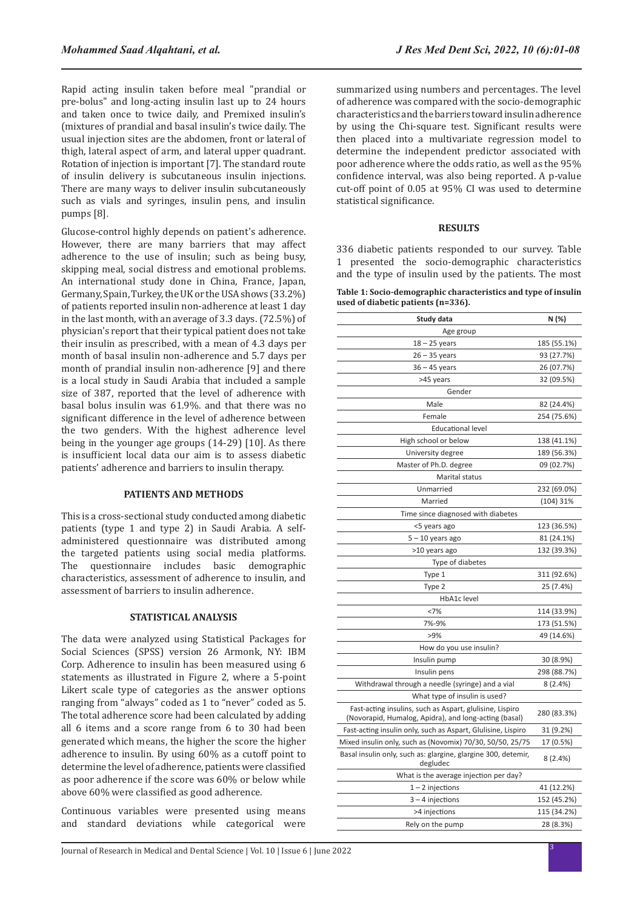Rapid acting insulin taken before meal "prandial or pre-bolus" and long-acting insulin last up to 24 hours and taken once to twice daily, and Premixed insulin's (mixtures of prandial and basal insulin's twice daily. The usual injection sites are the abdomen, front or lateral of thigh, lateral aspect of arm, and lateral upper quadrant. Rotation of injection is important [7]. The standard route of insulin delivery is subcutaneous insulin injections. There are many ways to deliver insulin subcutaneously such as vials and syringes, insulin pens, and insulin pumps [8].

Glucose-control highly depends on patient's adherence. However, there are many barriers that may affect adherence to the use of insulin; such as being busy, skipping meal, social distress and emotional problems. An international study done in China, France, Japan, Germany, Spain, Turkey, the UK or the USA shows (33.2%) of patients reported insulin non-adherence at least 1 day in the last month, with an average of 3.3 days. (72.5%) of physician's report that their typical patient does not take their insulin as prescribed, with a mean of 4.3 days per month of basal insulin non-adherence and 5.7 days per month of prandial insulin non-adherence [9] and there is a local study in Saudi Arabia that included a sample size of 387, reported that the level of adherence with basal bolus insulin was 61.9%. and that there was no significant difference in the level of adherence between the two genders. With the highest adherence level being in the younger age groups (14-29) [10]. As there is insufficient local data our aim is to assess diabetic patients' adherence and barriers to insulin therapy.

## **PATIENTS AND METHODS**

This is a cross-sectional study conducted among diabetic patients (type 1 and type 2) in Saudi Arabia. A selfadministered questionnaire was distributed among the targeted patients using social media platforms. The questionnaire includes basic demographic characteristics, assessment of adherence to insulin, and assessment of barriers to insulin adherence.

#### **STATISTICAL ANALYSIS**

The data were analyzed using Statistical Packages for Social Sciences (SPSS) version 26 Armonk, NY: IBM Corp. Adherence to insulin has been measured using 6 statements as illustrated in Figure 2, where a 5-point Likert scale type of categories as the answer options ranging from "always" coded as 1 to "never" coded as 5. The total adherence score had been calculated by adding all 6 items and a score range from 6 to 30 had been generated which means, the higher the score the higher adherence to insulin. By using 60% as a cutoff point to determine the level of adherence, patients were classified as poor adherence if the score was 60% or below while above 60% were classified as good adherence.

Continuous variables were presented using means and standard deviations while categorical were summarized using numbers and percentages. The level of adherence was compared with the socio-demographic characteristics and the barriers toward insulin adherence by using the Chi-square test. Significant results were then placed into a multivariate regression model to determine the independent predictor associated with poor adherence where the odds ratio, as well as the 95% confidence interval, was also being reported. A p-value cut-off point of 0.05 at 95% CI was used to determine statistical significance.

#### **RESULTS**

336 diabetic patients responded to our survey. Table 1 presented the socio-demographic characteristics and the type of insulin used by the patients. The most

| Table 1: Socio-demographic characteristics and type of insulin |
|----------------------------------------------------------------|
| used of diabetic patients (n=336).                             |

| Study data                                                                                                        | N (%)       |
|-------------------------------------------------------------------------------------------------------------------|-------------|
| Age group                                                                                                         |             |
| $18 - 25$ years                                                                                                   | 185 (55.1%) |
| 26 – 35 years                                                                                                     | 93 (27.7%)  |
| 36 – 45 years                                                                                                     | 26 (07.7%)  |
| >45 years                                                                                                         | 32 (09.5%)  |
| Gender                                                                                                            |             |
| Male                                                                                                              | 82 (24.4%)  |
| Female                                                                                                            | 254 (75.6%) |
| <b>Educational level</b>                                                                                          |             |
| High school or below                                                                                              | 138 (41.1%) |
| University degree                                                                                                 | 189 (56.3%) |
| Master of Ph.D. degree                                                                                            | 09 (02.7%)  |
| Marital status                                                                                                    |             |
| Unmarried                                                                                                         | 232 (69.0%) |
| Married                                                                                                           | $(104)$ 31% |
| Time since diagnosed with diabetes                                                                                |             |
| <5 years ago                                                                                                      | 123 (36.5%) |
| 5 - 10 years ago                                                                                                  | 81 (24.1%)  |
| >10 years ago                                                                                                     | 132 (39.3%) |
| Type of diabetes                                                                                                  |             |
| Type 1                                                                                                            | 311 (92.6%) |
| Type 2                                                                                                            | 25 (7.4%)   |
| HbA1c level                                                                                                       |             |
| <7%                                                                                                               | 114 (33.9%) |
| 7%-9%                                                                                                             | 173 (51.5%) |
| >9%                                                                                                               | 49 (14.6%)  |
| How do you use insulin?                                                                                           |             |
| Insulin pump                                                                                                      | 30 (8.9%)   |
| Insulin pens                                                                                                      | 298 (88.7%) |
| Withdrawal through a needle (syringe) and a vial                                                                  | 8 (2.4%)    |
| What type of insulin is used?                                                                                     |             |
| Fast-acting insulins, such as Aspart, glulisine, Lispiro<br>(Novorapid, Humalog, Apidra), and long-acting (basal) | 280 (83.3%) |
| Fast-acting insulin only, such as Aspart, Glulisine, Lispiro                                                      | 31 (9.2%)   |
| Mixed insulin only, such as (Novomix) 70/30, 50/50, 25/75                                                         | 17 (0.5%)   |
| Basal insulin only, such as: glargine, glargine 300, detemir,<br>degludec                                         | 8 (2.4%)    |
| What is the average injection per day?                                                                            |             |
| $1 - 2$ injections                                                                                                | 41 (12.2%)  |
| $3 - 4$ injections                                                                                                | 152 (45.2%) |
| >4 injections                                                                                                     | 115 (34.2%) |
| Rely on the pump                                                                                                  | 28 (8.3%)   |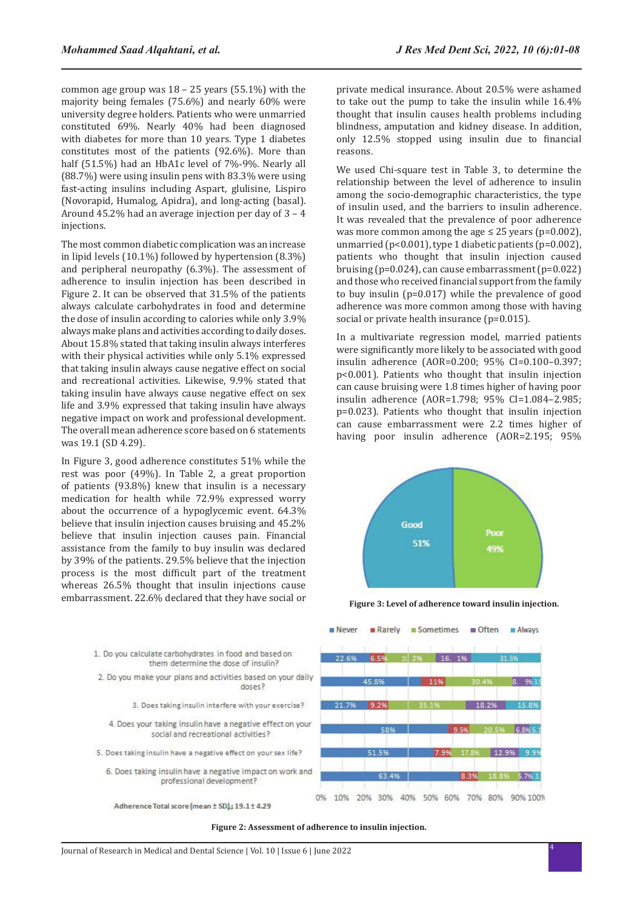common age group was  $18 - 25$  years  $(55.1%)$  with the majority being females (75.6%) and nearly 60% were university degree holders. Patients who were unmarried constituted 69%. Nearly 40% had been diagnosed with diabetes for more than 10 years. Type 1 diabetes constitutes most of the patients (92.6%). More than half (51.5%) had an HbA1c level of 7%-9%. Nearly all (88.7%) were using insulin pens with 83.3% were using fast-acting insulins including Aspart, glulisine, Lispiro (Novorapid, Humalog, Apidra), and long-acting (basal). Around 45.2% had an average injection per day of 3 – 4 injections.

The most common diabetic complication was an increase in lipid levels (10.1%) followed by hypertension (8.3%) and peripheral neuropathy (6.3%). The assessment of adherence to insulin injection has been described in Figure 2. It can be observed that 31.5% of the patients always calculate carbohydrates in food and determine the dose of insulin according to calories while only 3.9% always make plans and activities according to daily doses. About 15.8% stated that taking insulin always interferes with their physical activities while only 5.1% expressed that taking insulin always cause negative effect on social and recreational activities. Likewise, 9.9% stated that taking insulin have always cause negative effect on sex life and 3.9% expressed that taking insulin have always negative impact on work and professional development. The overall mean adherence score based on 6 statements was 19.1 (SD 4.29).

In Figure 3, good adherence constitutes 51% while the rest was poor (49%). In Table 2, a great proportion of patients (93.8%) knew that insulin is a necessary medication for health while 72.9% expressed worry about the occurrence of a hypoglycemic event. 64.3% believe that insulin injection causes bruising and 45.2% believe that insulin injection causes pain. Financial assistance from the family to buy insulin was declared by 39% of the patients. 29.5% believe that the injection process is the most difficult part of the treatment whereas 26.5% thought that insulin injections cause embarrassment. 22.6% declared that they have social or

- 1. Do you calculate carbohydrates in food and based on them determine the dose of insulin? 2. Do you make your plans and activities based on your daily doses? 3. Does taking insulin interfere with your exercise? 4. Does your taking insulin have a negative effect on your social and recreational activities?
- 5. Does taking insulin have a negative effect on your sex life?
	- 6. Does taking insulin have a negative impact on work and professional development?
	- Adherence Total score (mean ± SD); 19.1± 4.29

private medical insurance. About 20.5% were ashamed to take out the pump to take the insulin while 16.4% thought that insulin causes health problems including blindness, amputation and kidney disease. In addition, only 12.5% stopped using insulin due to financial reasons.

We used Chi-square test in Table 3, to determine the relationship between the level of adherence to insulin among the socio-demographic characteristics, the type of insulin used, and the barriers to insulin adherence. It was revealed that the prevalence of poor adherence was more common among the age  $\leq$  25 years (p=0.002), unmarried ( $p<0.001$ ), type 1 diabetic patients ( $p=0.002$ ), patients who thought that insulin injection caused bruising (p=0.024), can cause embarrassment (p=0.022) and those who received financial support from the family to buy insulin (p=0.017) while the prevalence of good adherence was more common among those with having social or private health insurance (p=0.015).

In a multivariate regression model, married patients were significantly more likely to be associated with good insulin adherence (AOR=0.200; 95% CI=0.100–0.397; p<0.001). Patients who thought that insulin injection can cause bruising were 1.8 times higher of having poor insulin adherence (AOR=1.798; 95% CI=1.084–2.985; p=0.023). Patients who thought that insulin injection can cause embarrassment were 2.2 times higher of having poor insulin adherence (AOR=2.195; 95%



**Figure 3: Level of adherence toward insulin injection.**



**Figure 2: Assessment of adherence to insulin injection.**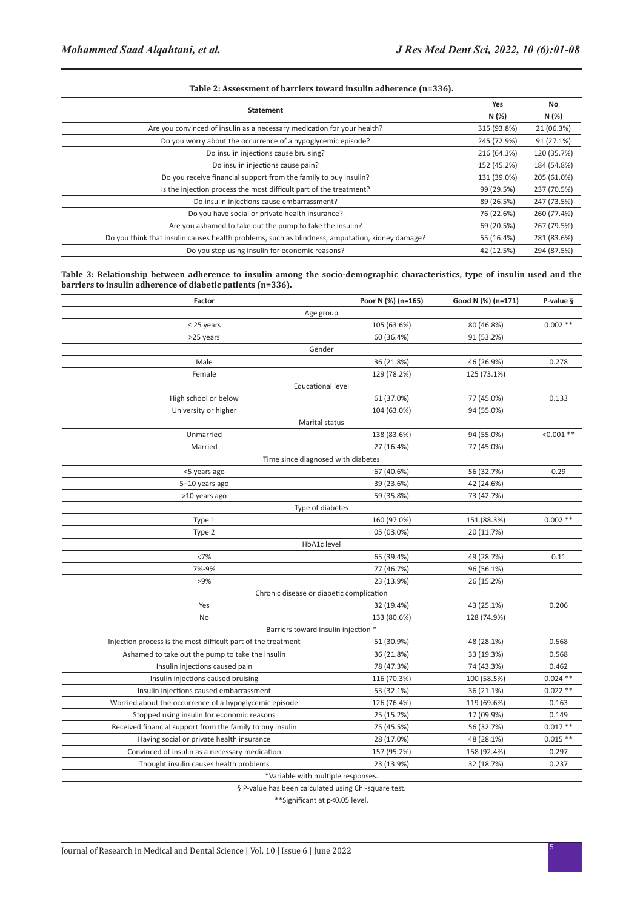## **Table 2: Assessment of barriers toward insulin adherence (n=336).**

|                                                                                                 | Yes         | No          |
|-------------------------------------------------------------------------------------------------|-------------|-------------|
| <b>Statement</b>                                                                                | N (%)       | N (%)       |
| Are you convinced of insulin as a necessary medication for your health?                         | 315 (93.8%) | 21 (06.3%)  |
| Do you worry about the occurrence of a hypoglycemic episode?                                    | 245 (72.9%) | 91 (27.1%)  |
| Do insulin injections cause bruising?                                                           | 216 (64.3%) | 120 (35.7%) |
| Do insulin injections cause pain?                                                               | 152 (45.2%) | 184 (54.8%) |
| Do you receive financial support from the family to buy insulin?                                | 131 (39.0%) | 205 (61.0%) |
| Is the injection process the most difficult part of the treatment?                              | 99 (29.5%)  | 237 (70.5%) |
| Do insulin injections cause embarrassment?                                                      | 89 (26.5%)  | 247 (73.5%) |
| Do you have social or private health insurance?                                                 | 76 (22.6%)  | 260 (77.4%) |
| Are you ashamed to take out the pump to take the insulin?                                       | 69 (20.5%)  | 267 (79.5%) |
| Do you think that insulin causes health problems, such as blindness, amputation, kidney damage? | 55 (16.4%)  | 281 (83.6%) |
| Do you stop using insulin for economic reasons?                                                 | 42 (12.5%)  | 294 (87.5%) |

**Table 3: Relationship between adherence to insulin among the socio-demographic characteristics, type of insulin used and the barriers to insulin adherence of diabetic patients (n=336).**

| Factor                                                        | Poor N (%) (n=165) | Good N (%) (n=171) | P-value §    |
|---------------------------------------------------------------|--------------------|--------------------|--------------|
| Age group                                                     |                    |                    |              |
| $\leq$ 25 years                                               | 105 (63.6%)        | 80 (46.8%)         | $0.002**$    |
| >25 years                                                     | 60 (36.4%)         | 91 (53.2%)         |              |
| Gender                                                        |                    |                    |              |
| Male                                                          | 36 (21.8%)         | 46 (26.9%)         | 0.278        |
| Female                                                        | 129 (78.2%)        | 125 (73.1%)        |              |
| <b>Educational level</b>                                      |                    |                    |              |
| High school or below                                          | 61 (37.0%)         | 77 (45.0%)         | 0.133        |
| University or higher                                          | 104 (63.0%)        | 94 (55.0%)         |              |
| Marital status                                                |                    |                    |              |
| Unmarried                                                     | 138 (83.6%)        | 94 (55.0%)         | $< 0.001$ ** |
| Married                                                       | 27 (16.4%)         | 77 (45.0%)         |              |
| Time since diagnosed with diabetes                            |                    |                    |              |
| <5 years ago                                                  | 67 (40.6%)         | 56 (32.7%)         | 0.29         |
| 5-10 years ago                                                | 39 (23.6%)         | 42 (24.6%)         |              |
| >10 years ago                                                 | 59 (35.8%)         | 73 (42.7%)         |              |
| Type of diabetes                                              |                    |                    |              |
| Type 1                                                        | 160 (97.0%)        | 151 (88.3%)        | $0.002**$    |
| Type 2                                                        | 05 (03.0%)         | 20 (11.7%)         |              |
| HbA1c level                                                   |                    |                    |              |
| <7%                                                           | 65 (39.4%)         | 49 (28.7%)         | 0.11         |
| 7%-9%                                                         | 77 (46.7%)         | 96 (56.1%)         |              |
| >9%                                                           | 23 (13.9%)         | 26 (15.2%)         |              |
| Chronic disease or diabetic complication                      |                    |                    |              |
| Yes                                                           | 32 (19.4%)         | 43 (25.1%)         | 0.206        |
| No                                                            | 133 (80.6%)        | 128 (74.9%)        |              |
| Barriers toward insulin injection *                           |                    |                    |              |
| Injection process is the most difficult part of the treatment | 51 (30.9%)         | 48 (28.1%)         | 0.568        |
| Ashamed to take out the pump to take the insulin              | 36 (21.8%)         | 33 (19.3%)         | 0.568        |
| Insulin injections caused pain                                | 78 (47.3%)         | 74 (43.3%)         | 0.462        |
| Insulin injections caused bruising                            | 116 (70.3%)        | 100 (58.5%)        | $0.024$ **   |
| Insulin injections caused embarrassment                       | 53 (32.1%)         | 36 (21.1%)         | $0.022**$    |
| Worried about the occurrence of a hypoglycemic episode        | 126 (76.4%)        | 119 (69.6%)        | 0.163        |
| Stopped using insulin for economic reasons                    | 25 (15.2%)         | 17 (09.9%)         | 0.149        |
| Received financial support from the family to buy insulin     | 75 (45.5%)         | 56 (32.7%)         | $0.017**$    |
| Having social or private health insurance                     | 28 (17.0%)         | 48 (28.1%)         | $0.015**$    |
| Convinced of insulin as a necessary medication                | 157 (95.2%)        | 158 (92.4%)        | 0.297        |
| Thought insulin causes health problems                        | 23 (13.9%)         | 32 (18.7%)         | 0.237        |
| *Variable with multiple responses.                            |                    |                    |              |
| § P-value has been calculated using Chi-square test.          |                    |                    |              |
| **Significant at p<0.05 level.                                |                    |                    |              |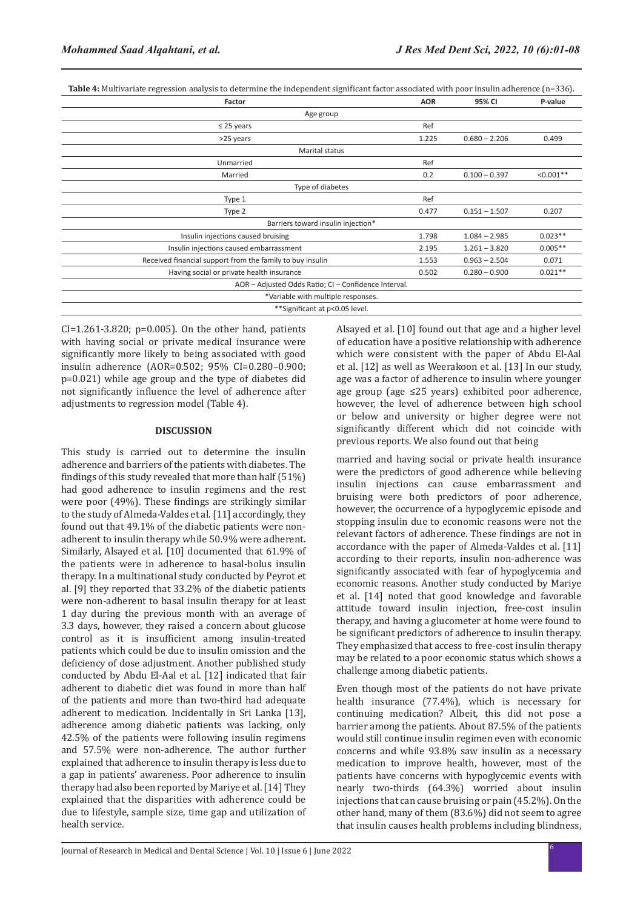**Table 4:** Multivariate regression analysis to determine the independent significant factor associated with poor insulin adherence (n=336).

| Factor                                                    | <b>AOR</b> | 95% CI          | P-value     |  |
|-----------------------------------------------------------|------------|-----------------|-------------|--|
| Age group                                                 |            |                 |             |  |
| $\leq$ 25 years                                           | Ref        |                 |             |  |
| >25 years                                                 | 1.225      | $0.680 - 2.206$ | 0.499       |  |
| <b>Marital status</b>                                     |            |                 |             |  |
| Unmarried                                                 | Ref        |                 |             |  |
| Married                                                   | 0.2        | $0.100 - 0.397$ | $< 0.001**$ |  |
| Type of diabetes                                          |            |                 |             |  |
| Type 1                                                    | Ref        |                 |             |  |
| Type 2                                                    | 0.477      | $0.151 - 1.507$ | 0.207       |  |
| Barriers toward insulin injection*                        |            |                 |             |  |
| Insulin injections caused bruising                        | 1.798      | $1.084 - 2.985$ | $0.023**$   |  |
| Insulin injections caused embarrassment                   | 2.195      | $1.261 - 3.820$ | $0.005**$   |  |
| Received financial support from the family to buy insulin | 1.553      | $0.963 - 2.504$ | 0.071       |  |
| Having social or private health insurance                 | 0.502      | $0.280 - 0.900$ | $0.021**$   |  |
| AOR - Adjusted Odds Ratio; CI - Confidence Interval.      |            |                 |             |  |
| *Variable with multiple responses.                        |            |                 |             |  |
| **Significant at p<0.05 level.                            |            |                 |             |  |

 $CI=1.261-3.820$ ;  $p=0.005$ ). On the other hand, patients with having social or private medical insurance were significantly more likely to being associated with good insulin adherence (AOR=0.502; 95% CI=0.280–0.900; p=0.021) while age group and the type of diabetes did not significantly influence the level of adherence after adjustments to regression model (Table 4).

## **DISCUSSION**

This study is carried out to determine the insulin adherence and barriers of the patients with diabetes. The findings of this study revealed that more than half (51%) had good adherence to insulin regimens and the rest were poor (49%). These findings are strikingly similar to the study of Almeda-Valdes et al. [11] accordingly, they found out that 49.1% of the diabetic patients were nonadherent to insulin therapy while 50.9% were adherent. Similarly, Alsayed et al. [10] documented that 61.9% of the patients were in adherence to basal-bolus insulin therapy. In a multinational study conducted by Peyrot et al. [9] they reported that 33.2% of the diabetic patients were non-adherent to basal insulin therapy for at least 1 day during the previous month with an average of 3.3 days, however, they raised a concern about glucose control as it is insufficient among insulin-treated patients which could be due to insulin omission and the deficiency of dose adjustment. Another published study conducted by Abdu El-Aal et al. [12] indicated that fair adherent to diabetic diet was found in more than half of the patients and more than two-third had adequate adherent to medication. Incidentally in Sri Lanka [13], adherence among diabetic patients was lacking, only 42.5% of the patients were following insulin regimens and 57.5% were non-adherence. The author further explained that adherence to insulin therapy is less due to a gap in patients' awareness. Poor adherence to insulin therapy had also been reported by Mariye et al. [14] They explained that the disparities with adherence could be due to lifestyle, sample size, time gap and utilization of health service.

Alsayed et al. [10] found out that age and a higher level of education have a positive relationship with adherence which were consistent with the paper of Abdu El-Aal et al. [12] as well as Weerakoon et al. [13] In our study, age was a factor of adherence to insulin where younger age group (age ≤25 years) exhibited poor adherence, however, the level of adherence between high school or below and university or higher degree were not significantly different which did not coincide with previous reports. We also found out that being

married and having social or private health insurance were the predictors of good adherence while believing insulin injections can cause embarrassment and bruising were both predictors of poor adherence, however, the occurrence of a hypoglycemic episode and stopping insulin due to economic reasons were not the relevant factors of adherence. These findings are not in accordance with the paper of Almeda-Valdes et al. [11] according to their reports, insulin non-adherence was significantly associated with fear of hypoglycemia and economic reasons. Another study conducted by Mariye et al. [14] noted that good knowledge and favorable attitude toward insulin injection, free-cost insulin therapy, and having a glucometer at home were found to be significant predictors of adherence to insulin therapy. They emphasized that access to free-cost insulin therapy may be related to a poor economic status which shows a challenge among diabetic patients.

Even though most of the patients do not have private health insurance (77.4%), which is necessary for continuing medication? Albeit, this did not pose a barrier among the patients. About 87.5% of the patients would still continue insulin regimen even with economic concerns and while 93.8% saw insulin as a necessary medication to improve health, however, most of the patients have concerns with hypoglycemic events with nearly two-thirds (64.3%) worried about insulin injections that can cause bruising or pain (45.2%). On the other hand, many of them (83.6%) did not seem to agree that insulin causes health problems including blindness,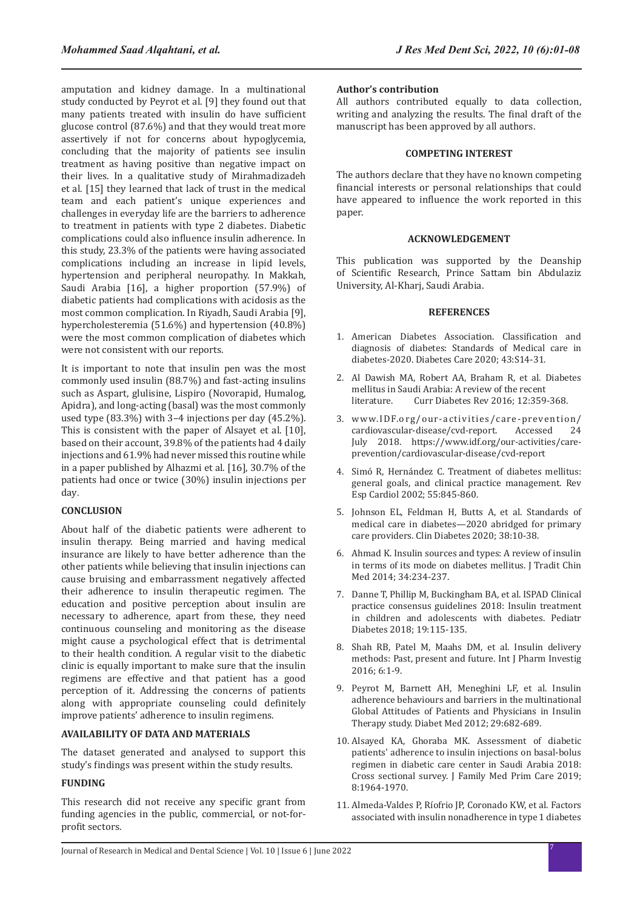amputation and kidney damage. In a multinational study conducted by Peyrot et al. [9] they found out that many patients treated with insulin do have sufficient glucose control (87.6%) and that they would treat more assertively if not for concerns about hypoglycemia, concluding that the majority of patients see insulin treatment as having positive than negative impact on their lives. In a qualitative study of Mirahmadizadeh et al. [15] they learned that lack of trust in the medical team and each patient's unique experiences and challenges in everyday life are the barriers to adherence to treatment in patients with type 2 diabetes. Diabetic complications could also influence insulin adherence. In this study, 23.3% of the patients were having associated complications including an increase in lipid levels, hypertension and peripheral neuropathy. In Makkah, Saudi Arabia [16], a higher proportion (57.9%) of diabetic patients had complications with acidosis as the most common complication. In Riyadh, Saudi Arabia [9], hypercholesteremia (51.6%) and hypertension (40.8%) were the most common complication of diabetes which were not consistent with our reports.

It is important to note that insulin pen was the most commonly used insulin (88.7%) and fast-acting insulins such as Aspart, glulisine, Lispiro (Novorapid, Humalog, Apidra), and long-acting (basal) was the most commonly used type (83.3%) with 3–4 injections per day (45.2%). This is consistent with the paper of Alsayet et al. [10], based on their account, 39.8% of the patients had 4 daily injections and 61.9% had never missed this routine while in a paper published by Alhazmi et al. [16], 30.7% of the patients had once or twice (30%) insulin injections per day.

## **CONCLUSION**

About half of the diabetic patients were adherent to insulin therapy. Being married and having medical insurance are likely to have better adherence than the other patients while believing that insulin injections can cause bruising and embarrassment negatively affected their adherence to insulin therapeutic regimen. The education and positive perception about insulin are necessary to adherence, apart from these, they need continuous counseling and monitoring as the disease might cause a psychological effect that is detrimental to their health condition. A regular visit to the diabetic clinic is equally important to make sure that the insulin regimens are effective and that patient has a good perception of it. Addressing the concerns of patients along with appropriate counseling could definitely improve patients' adherence to insulin regimens.

## **AVAILABILITY OF DATA AND MATERIALS**

The dataset generated and analysed to support this study's findings was present within the study results.

# **FUNDING**

This research did not receive any specific grant from funding agencies in the public, commercial, or not-forprofit sectors.

## **Author's contribution**

All authors contributed equally to data collection, writing and analyzing the results. The final draft of the manuscript has been approved by all authors.

### **COMPETING INTEREST**

The authors declare that they have no known competing financial interests or personal relationships that could have appeared to influence the work reported in this paper.

#### **ACKNOWLEDGEMENT**

This publication was supported by the Deanship of Scientific Research, Prince Sattam bin Abdulaziz University, Al-Kharj, Saudi Arabia.

#### **REFERENCES**

- 1. American Diabetes Association. [Classification and](https://diabetesjournals.org/care/article/43/Supplement_1/S14/30640/2-Classification-and-Diagnosis-of-Diabetes)  [diagnosis of diabetes: Standards of Medical care in](https://diabetesjournals.org/care/article/43/Supplement_1/S14/30640/2-Classification-and-Diagnosis-of-Diabetes)  [diabetes-2020](https://diabetesjournals.org/care/article/43/Supplement_1/S14/30640/2-Classification-and-Diagnosis-of-Diabetes). Diabetes Care 2020; 43:S14-31.
- 2. Al Dawish MA, Robert AA, Braham R, et al. [Diabetes](https://www.ingentaconnect.com/content/ben/cdr/2016/00000012/00000004/art00006)  [mellitus in Saudi Arabia: A review of the recent](https://www.ingentaconnect.com/content/ben/cdr/2016/00000012/00000004/art00006)<br>literature. Curr Diabetes Rev 2016: 12:359 Curr Diabetes Rev 2016: 12:359-368.
- 3. www.IDF.org/our-activities/care-prevention/ cardiovascular-disease/cvd-report. July 2018. https://www.idf.org/our-activities/careprevention/cardiovascular-disease/cvd-report
- 4. Simó R, Hernández C. [Treatment of diabetes mellitus:](https://europepmc.org/article/med/12199981)  [general goals, and clinical practice management.](https://europepmc.org/article/med/12199981) Rev Esp Cardiol 2002; 55:845-860.
- 5. Johnson EL, Feldman H, Butts A, et al. [Standards of](https://diabetesjournals.org/clinical/article/38/1/10/32237/Standards-of-Medical-Care-in-Diabetes-2020)  [medical care in diabetes—2020 abridged for primary](https://diabetesjournals.org/clinical/article/38/1/10/32237/Standards-of-Medical-Care-in-Diabetes-2020)  [care providers.](https://diabetesjournals.org/clinical/article/38/1/10/32237/Standards-of-Medical-Care-in-Diabetes-2020) Clin Diabetes 2020; 38:10-38.
- 6. Ahmad K. [Insulin sources and types: A review of insulin](https://www.sciencedirect.com/science/article/pii/S0254627214600844)  [in terms of its mode on diabetes mellitus](https://www.sciencedirect.com/science/article/pii/S0254627214600844). J Tradit Chin Med 2014; 34:234-237.
- 7. Danne T, Phillip M, Buckingham BA, et al. ISPAD Clinical practice consensus guidelines 2018: Insulin treatment in children and adolescents with diabetes. Pediatr Diabetes 2018; 19:115-135.
- 8. Shah RB, Patel M, Maahs DM, et al. Insulin delivery methods: Past, present and future. Int J Pharm Investig 2016; 6:1-9.
- 9. Peyrot M, Barnett AH, Meneghini LF, et al. [Insulin](https://onlinelibrary.wiley.com/doi/full/10.1111/j.1464-5491.2012.03605.x)  [adherence behaviours and barriers in the multinational](https://onlinelibrary.wiley.com/doi/full/10.1111/j.1464-5491.2012.03605.x)  [Global Attitudes of Patients and Physicians in Insulin](https://onlinelibrary.wiley.com/doi/full/10.1111/j.1464-5491.2012.03605.x)  [Therapy study](https://onlinelibrary.wiley.com/doi/full/10.1111/j.1464-5491.2012.03605.x). Diabet Med 2012; 29:682-689.
- 10. Alsayed KA, Ghoraba MK. [Assessment of diabetic](https://journals.lww.com/jfmpc/Fulltext/2019/08060/Assessment_of_diabetic_patients__adherence_to.27.aspx)  patients[' adherence to insulin injections on basal-bolus](https://journals.lww.com/jfmpc/Fulltext/2019/08060/Assessment_of_diabetic_patients__adherence_to.27.aspx)  [regimen in diabetic care center in Saudi Arabia 2018:](https://journals.lww.com/jfmpc/Fulltext/2019/08060/Assessment_of_diabetic_patients__adherence_to.27.aspx)  [Cross sectional survey](https://journals.lww.com/jfmpc/Fulltext/2019/08060/Assessment_of_diabetic_patients__adherence_to.27.aspx). J Family Med Prim Care 2019; 8:1964-1970.
- 11. Almeda-Valdes P, Ríofrio JP, Coronado KW, et al. [Factors](https://www.karger.com/Article/Abstract/502903)  [associated with insulin nonadherence in type 1 diabetes](https://www.karger.com/Article/Abstract/502903)